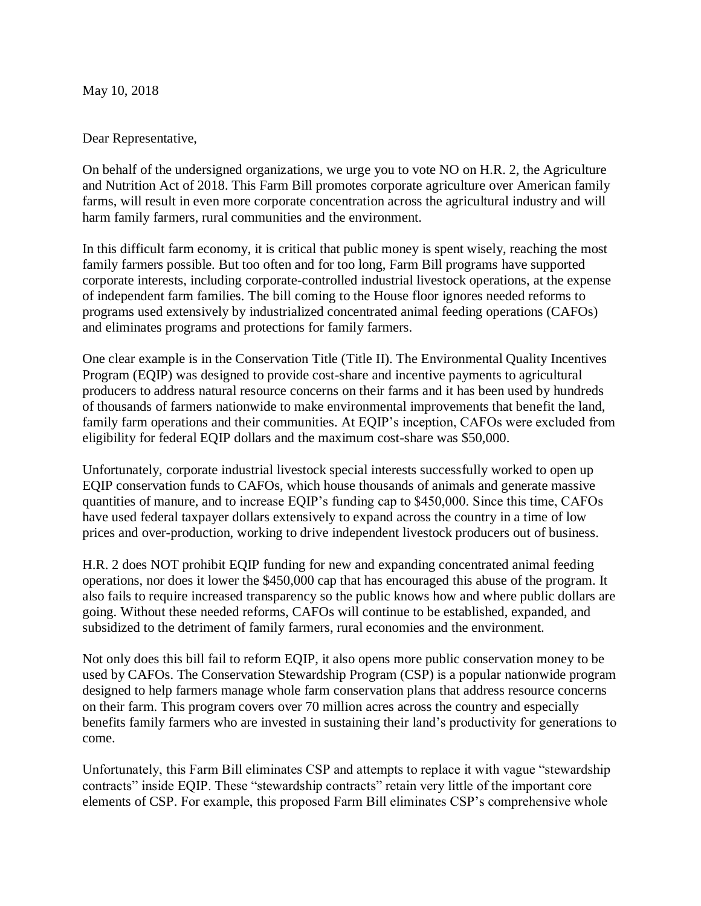May 10, 2018

Dear Representative,

On behalf of the undersigned organizations, we urge you to vote NO on H.R. 2, the Agriculture and Nutrition Act of 2018. This Farm Bill promotes corporate agriculture over American family farms, will result in even more corporate concentration across the agricultural industry and will harm family farmers, rural communities and the environment.

In this difficult farm economy, it is critical that public money is spent wisely, reaching the most family farmers possible. But too often and for too long, Farm Bill programs have supported corporate interests, including corporate-controlled industrial livestock operations, at the expense of independent farm families. The bill coming to the House floor ignores needed reforms to programs used extensively by industrialized concentrated animal feeding operations (CAFOs) and eliminates programs and protections for family farmers.

One clear example is in the Conservation Title (Title II). The Environmental Quality Incentives Program (EQIP) was designed to provide cost-share and incentive payments to agricultural producers to address natural resource concerns on their farms and it has been used by hundreds of thousands of farmers nationwide to make environmental improvements that benefit the land, family farm operations and their communities. At EQIP's inception, CAFOs were excluded from eligibility for federal EQIP dollars and the maximum cost-share was \$50,000.

Unfortunately, corporate industrial livestock special interests successfully worked to open up EQIP conservation funds to CAFOs, which house thousands of animals and generate massive quantities of manure, and to increase EQIP's funding cap to \$450,000. Since this time, CAFOs have used federal taxpayer dollars extensively to expand across the country in a time of low prices and over-production, working to drive independent livestock producers out of business.

H.R. 2 does NOT prohibit EQIP funding for new and expanding concentrated animal feeding operations, nor does it lower the \$450,000 cap that has encouraged this abuse of the program. It also fails to require increased transparency so the public knows how and where public dollars are going. Without these needed reforms, CAFOs will continue to be established, expanded, and subsidized to the detriment of family farmers, rural economies and the environment.

Not only does this bill fail to reform EQIP, it also opens more public conservation money to be used by CAFOs. The Conservation Stewardship Program (CSP) is a popular nationwide program designed to help farmers manage whole farm conservation plans that address resource concerns on their farm. This program covers over 70 million acres across the country and especially benefits family farmers who are invested in sustaining their land's productivity for generations to come.

Unfortunately, this Farm Bill eliminates CSP and attempts to replace it with vague "stewardship contracts" inside EQIP. These "stewardship contracts" retain very little of the important core elements of CSP. For example, this proposed Farm Bill eliminates CSP's comprehensive whole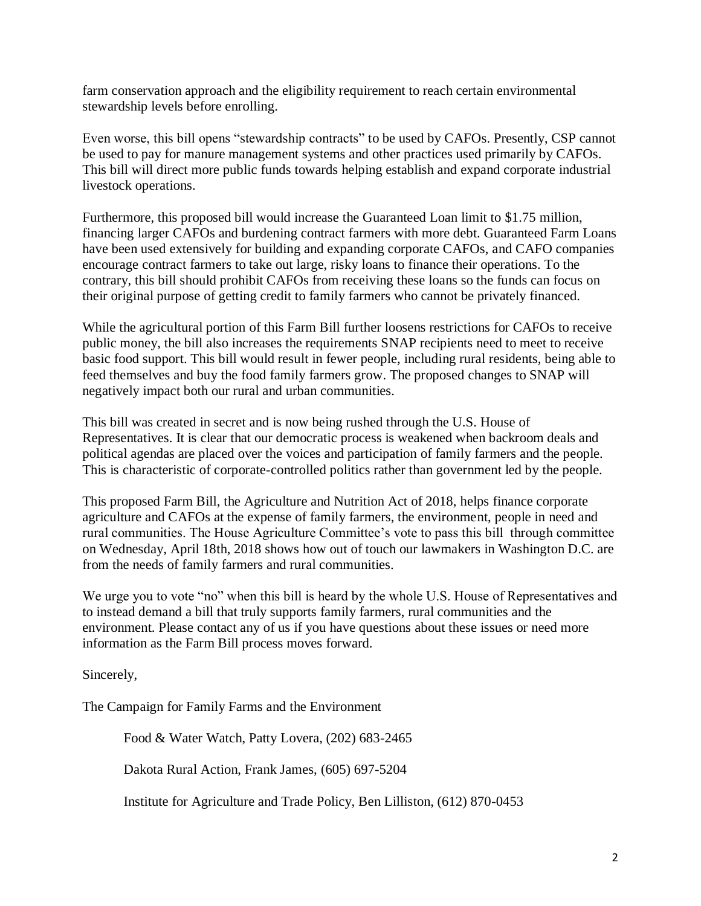farm conservation approach and the eligibility requirement to reach certain environmental stewardship levels before enrolling.

Even worse, this bill opens "stewardship contracts" to be used by CAFOs. Presently, CSP cannot be used to pay for manure management systems and other practices used primarily by CAFOs. This bill will direct more public funds towards helping establish and expand corporate industrial livestock operations.

Furthermore, this proposed bill would increase the Guaranteed Loan limit to \$1.75 million, financing larger CAFOs and burdening contract farmers with more debt. Guaranteed Farm Loans have been used extensively for building and expanding corporate CAFOs, and CAFO companies encourage contract farmers to take out large, risky loans to finance their operations. To the contrary, this bill should prohibit CAFOs from receiving these loans so the funds can focus on their original purpose of getting credit to family farmers who cannot be privately financed.

While the agricultural portion of this Farm Bill further loosens restrictions for CAFOs to receive public money, the bill also increases the requirements SNAP recipients need to meet to receive basic food support. This bill would result in fewer people, including rural residents, being able to feed themselves and buy the food family farmers grow. The proposed changes to SNAP will negatively impact both our rural and urban communities.

This bill was created in secret and is now being rushed through the U.S. House of Representatives. It is clear that our democratic process is weakened when backroom deals and political agendas are placed over the voices and participation of family farmers and the people. This is characteristic of corporate-controlled politics rather than government led by the people.

This proposed Farm Bill, the Agriculture and Nutrition Act of 2018, helps finance corporate agriculture and CAFOs at the expense of family farmers, the environment, people in need and rural communities. The House Agriculture Committee's vote to pass this bill through committee on Wednesday, April 18th, 2018 shows how out of touch our lawmakers in Washington D.C. are from the needs of family farmers and rural communities.

We urge you to vote "no" when this bill is heard by the whole U.S. House of Representatives and to instead demand a bill that truly supports family farmers, rural communities and the environment. Please contact any of us if you have questions about these issues or need more information as the Farm Bill process moves forward.

Sincerely,

The Campaign for Family Farms and the Environment

Food & Water Watch, Patty Lovera, (202) 683-2465

Dakota Rural Action, Frank James, (605) 697-5204

Institute for Agriculture and Trade Policy, Ben Lilliston, (612) 870-0453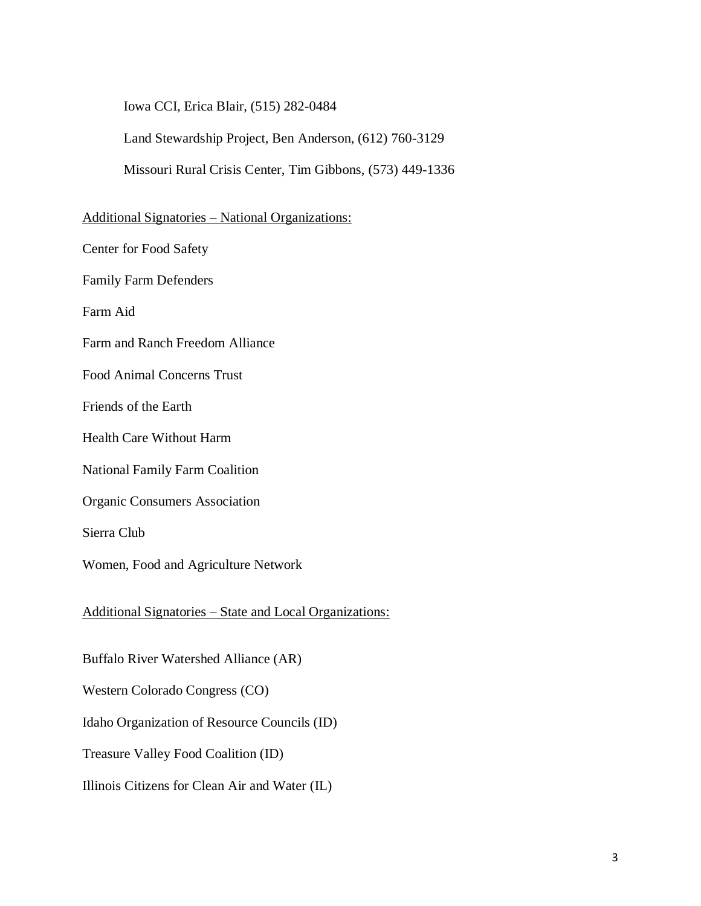Iowa CCI, Erica Blair, (515) 282-0484

Land Stewardship Project, Ben Anderson, (612) 760-3129

Missouri Rural Crisis Center, Tim Gibbons, (573) 449-1336

## Additional Signatories – National Organizations:

Center for Food Safety

Family Farm Defenders

Farm Aid

Farm and Ranch Freedom Alliance

Food Animal Concerns Trust

Friends of the Earth

Health Care Without Harm

National Family Farm Coalition

Organic Consumers Association

Sierra Club

Women, Food and Agriculture Network

Additional Signatories – State and Local Organizations:

Buffalo River Watershed Alliance (AR)

Western Colorado Congress (CO)

Idaho Organization of Resource Councils (ID)

Treasure Valley Food Coalition (ID)

Illinois Citizens for Clean Air and Water (IL)